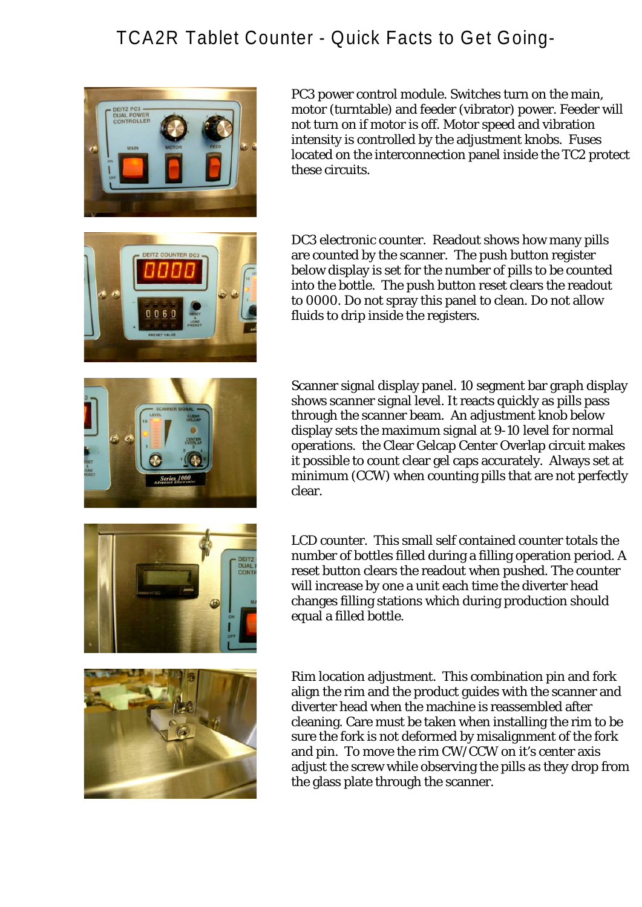## TCA2R Tablet Counter - Quick Facts to Get Going-



PC3 power control module. Switches turn on the main, motor (turntable) and feeder (vibrator) power. Feeder will not turn on if motor is off. Motor speed and vibration intensity is controlled by the adjustment knobs. Fuses located on the interconnection panel inside the TC2 protect these circuits.



DC3 electronic counter. Readout shows how many pills are counted by the scanner. The push button register below display is set for the number of pills to be counted into the bottle. The push button reset clears the readout to 0000. Do not spray this panel to clean. Do not allow fluids to drip inside the registers.



DUAL<br>CONT

Scanner signal display panel. 10 segment bar graph display shows scanner signal level. It reacts quickly as pills pass through the scanner beam. An adjustment knob below display sets the maximum signal at 9-10 level for normal operations. the Clear Gelcap Center Overlap circuit makes it possible to count clear gel caps accurately. Always set at minimum (CCW) when counting pills that are not perfectly clear.

LCD counter. This small self contained counter totals the number of bottles filled during a filling operation period. A reset button clears the readout when pushed. The counter will increase by one a unit each time the diverter head changes filling stations which during production should equal a filled bottle.



Rim location adjustment. This combination pin and fork align the rim and the product guides with the scanner and diverter head when the machine is reassembled after cleaning. Care must be taken when installing the rim to be sure the fork is not deformed by misalignment of the fork and pin. To move the rim CW/CCW on it's center axis adjust the screw while observing the pills as they drop from the glass plate through the scanner.